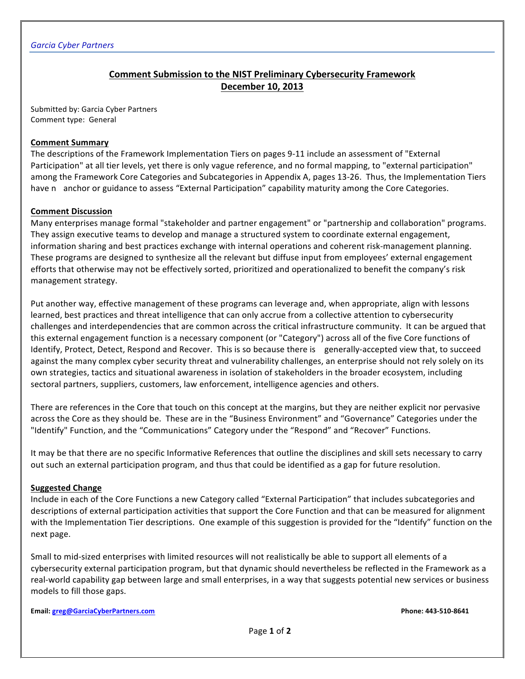# **Comment Submission to the NIST Preliminary Cybersecurity Framework December 10, 2013**

Submitted by: Garcia Cyber Partners Comment type: General

### **Comment Summary**

The descriptions of the Framework Implementation Tiers on pages 9-11 include an assessment of "External Participation" at all tier levels, yet there is only vague reference, and no formal mapping, to "external participation" among the Framework Core Categories and Subcategories in Appendix A, pages 13-26. Thus, the Implementation Tiers have n anchor or guidance to assess "External Participation" capability maturity among the Core Categories.

#### **Comment Discussion**

Many enterprises manage formal "stakeholder and partner engagement" or "partnership and collaboration" programs. They assign executive teams to develop and manage a structured system to coordinate external engagement, information sharing and best practices exchange with internal operations and coherent risk-management planning. These programs are designed to synthesize all the relevant but diffuse input from employees' external engagement efforts that otherwise may not be effectively sorted, prioritized and operationalized to benefit the company's risk management strategy.

Put another way, effective management of these programs can leverage and, when appropriate, align with lessons learned, best practices and threat intelligence that can only accrue from a collective attention to cybersecurity challenges and interdependencies that are common across the critical infrastructure community. It can be argued that this external engagement function is a necessary component (or "Category") across all of the five Core functions of Identify, Protect, Detect, Respond and Recover. This is so because there is generally-accepted view that, to succeed against the many complex cyber security threat and vulnerability challenges, an enterprise should not rely solely on its own strategies, tactics and situational awareness in isolation of stakeholders in the broader ecosystem, including sectoral partners, suppliers, customers, law enforcement, intelligence agencies and others.

There are references in the Core that touch on this concept at the margins, but they are neither explicit nor pervasive across the Core as they should be. These are in the "Business Environment" and "Governance" Categories under the "Identify" Function, and the "Communications" Category under the "Respond" and "Recover" Functions.

It may be that there are no specific Informative References that outline the disciplines and skill sets necessary to carry out such an external participation program, and thus that could be identified as a gap for future resolution.

#### **Suggested Change**

Include in each of the Core Functions a new Category called "External Participation" that includes subcategories and descriptions of external participation activities that support the Core Function and that can be measured for alignment with the Implementation Tier descriptions. One example of this suggestion is provided for the "Identify" function on the next page.

Small to mid-sized enterprises with limited resources will not realistically be able to support all elements of a cybersecurity external participation program, but that dynamic should nevertheless be reflected in the Framework as a real-world capability gap between large and small enterprises, in a way that suggests potential new services or business models to fill those gaps.